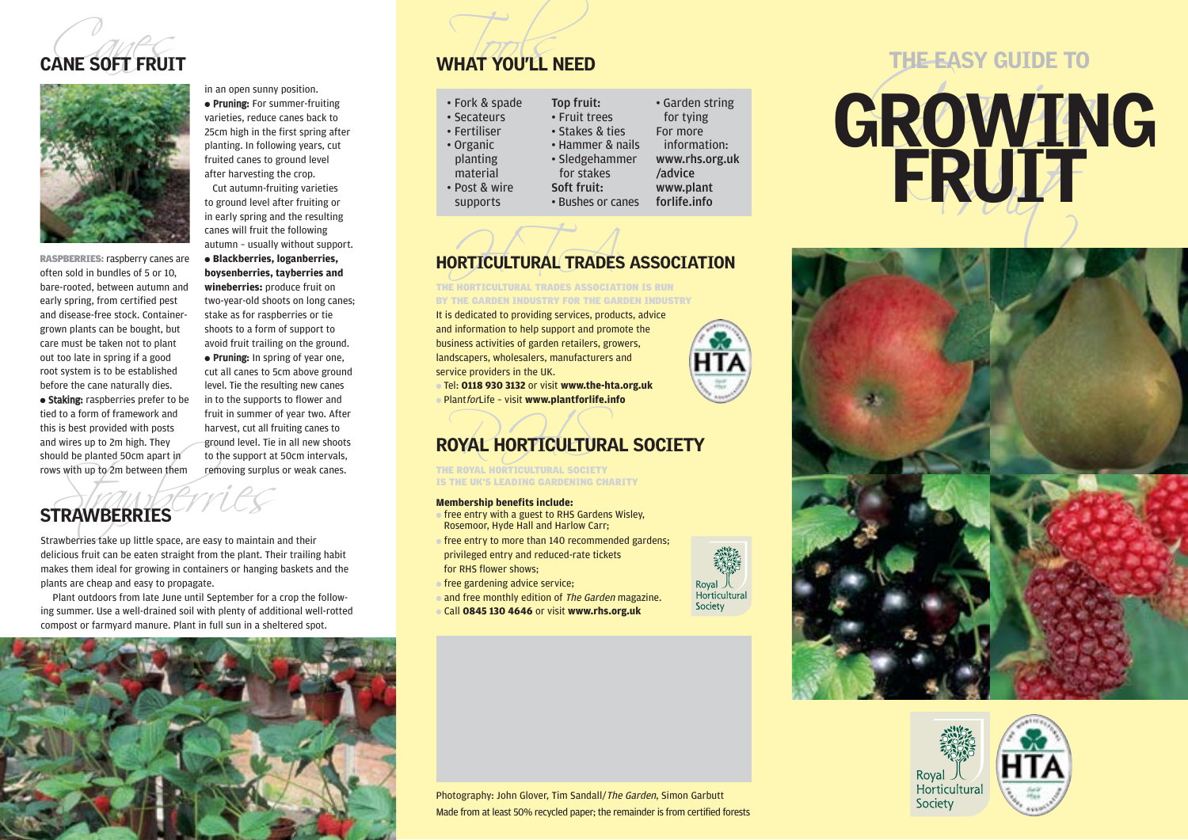



TRAWBERRIES<br>and be planted 50cm apart in to the support at<br>strake with up to 2m between them removing surplus<br>and the state up little space, are easy to maintain RASPBERRIES: raspberry canes are often sold in bundles of 5 or 10, bare-rooted, between autumn and early spring, from certified pest and disease-free stock. Containergrown plants can be bought, but care must be taken not to plant out too late in spring if a good root system is to be established before the cane naturally dies. ● Staking: raspberries prefer to be tied to a form of framework and this is best provided with posts and wires up to 2m high. They should be planted 50cm apart in rows with up to 2m between them stake as for raspberries or tie

**boysenberries, tayberries and wineberries:** produce fruit on two-year-old shoots on long canes;

shoots to a form of support to avoid fruit trailing on the ground. • Pruning: In spring of year one. cut all canes to 5cm above ground level. Tie the resulting new canes in to the supports to flower and fruit in summer of year two. After harvest, cut all fruiting canes to ground level. Tie in all new shoots to the support at 50cm intervals, Fruit in summer of year two. After<br>harvest, cut all fruiting canes to<br>ground level. Tie in all new shoots<br>to the support at 50cm intervals,<br>removing surplus or weak canes.<br>THE ROYAL HORTICULTURAL SOCIETY

## STRAWBERRIES

Strawberries take up little space, are easy to maintain and their delicious fruit can be eaten straight from the plant. Their trailing habit makes them ideal for growing in containers or hanging baskets and the plants are cheap and easy to propagate.

Plant outdoors from late June until September for a crop the following summer. Use a well-drained soil with plenty of additional well-rotted compost or farmyard manure. Plant in full sun in a sheltered spot.



## **CANE SOFT FRUIT WHAT YOU'LL NEED**

| Fork & spade     | Top fruit:        | • Garden string |
|------------------|-------------------|-----------------|
| <b>Secateurs</b> | • Fruit trees     | for tying       |
| Fertiliser       | • Stakes & ties   | For more        |
| Organic          | • Hammer & nails  | information:    |
| planting         | • Sledgehammer    | www.rhs.org.uk  |
| material         | for stakes        | /advice         |
| Post & wire      | Soft fruit:       | www.plant       |
| supports         | • Bushes or canes | forlife.info    |

# ORTICULTURAL TRADES HORTICULTURAL TRADES ASSOCIATION

It is dedicated to providing services, products, advice THE HORTICULTURAL TRADES ASSOCIATION IS RUN BY THE GARDEN INDUSTRY FOR THE GARDEN INDUSTRY

and information to help support and promote the business activities of garden retailers, growers, landscapers, wholesalers, manufacturers and service providers in the UK.

● Tel: **0118 930 3132** or visit **www.the-hta.org.uk** ● PlantforLife – visit **www.plantforlife.info**

## ROYAL HORTICULTURAL SOCIETY

THE ROYAL HORTICULTURAL SOCIETY **IS THE UK'S LEADING GARDENING CHARITY** 

### **Membership benefits include:**

- $\bullet$  free entry with a guest to RHS Gardens Wisley. Rosemoor, Hyde Hall and Harlow Carr;
- free entry to more than 140 recommended gardens; privileged entry and reduced-rate tickets for RHS flower shows;
- free gardening advice service;
- and free monthly edition of The Garden magazine.
- Call **0845 130 4646** or visit **www.rhs.org.uk**











Royal 人<br>Horticultural Society